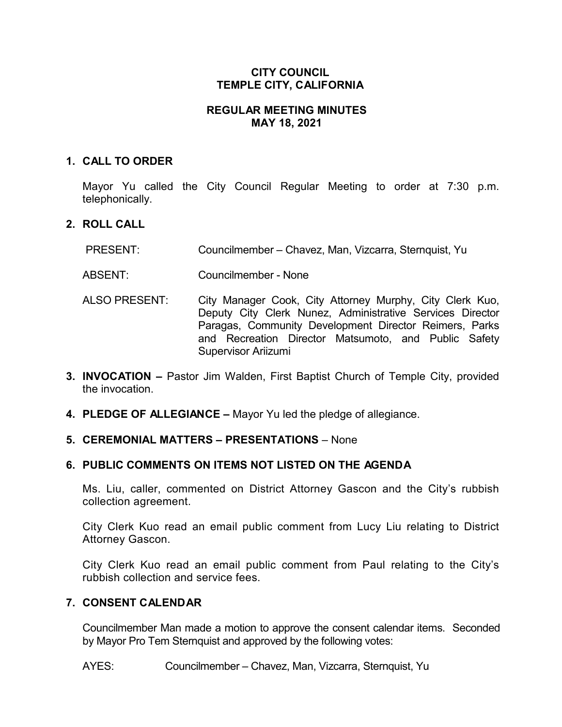## **CITY COUNCIL TEMPLE CITY, CALIFORNIA**

## **REGULAR MEETING MINUTES MAY 18, 2021**

### **1. CALL TO ORDER**

Mayor Yu called the City Council Regular Meeting to order at 7:30 p.m. telephonically.

## **2. ROLL CALL**

- PRESENT: Councilmember Chavez, Man, Vizcarra, Sternquist, Yu
- ABSENT: Councilmember None
- ALSO PRESENT: City Manager Cook, City Attorney Murphy, City Clerk Kuo, Deputy City Clerk Nunez, Administrative Services Director Paragas, Community Development Director Reimers, Parks and Recreation Director Matsumoto, and Public Safety Supervisor Ariizumi
- **3. INVOCATION –** Pastor Jim Walden, First Baptist Church of Temple City, provided the invocation.
- **4. PLEDGE OF ALLEGIANCE –** Mayor Yu led the pledge of allegiance.

## **5. CEREMONIAL MATTERS – PRESENTATIONS** – None

## **6. PUBLIC COMMENTS ON ITEMS NOT LISTED ON THE AGENDA**

Ms. Liu, caller, commented on District Attorney Gascon and the City's rubbish collection agreement.

City Clerk Kuo read an email public comment from Lucy Liu relating to District Attorney Gascon.

City Clerk Kuo read an email public comment from Paul relating to the City's rubbish collection and service fees.

## **7. CONSENT CALENDAR**

Councilmember Man made a motion to approve the consent calendar items. Seconded by Mayor Pro Tem Sternquist and approved by the following votes:

AYES: Councilmember – Chavez, Man, Vizcarra, Sternquist, Yu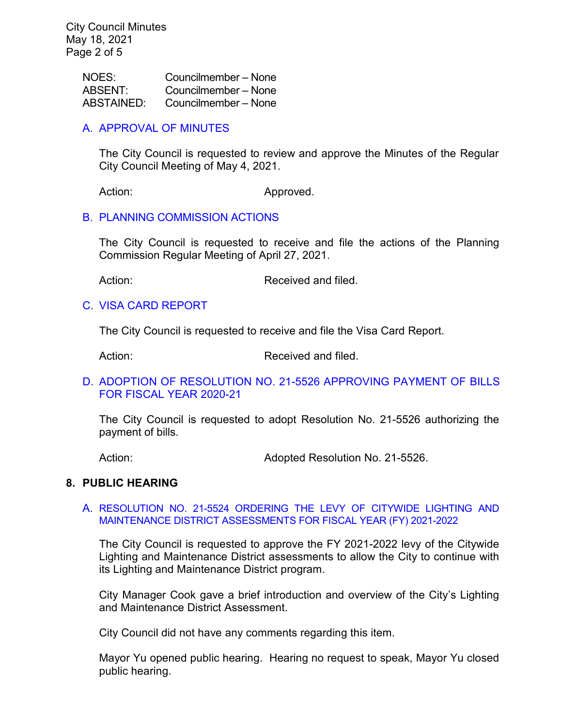| NOES:             | Councilmember – None |
|-------------------|----------------------|
| <b>ABSENT:</b>    | Councilmember - None |
| <b>ABSTAINED:</b> | Councilmember - None |

## A. [APPROVAL](https://www.ci.temple-city.ca.us/DocumentCenter/View/16267/02-CCM--2021-05-04) OF MINUTES

The City Council is requested to review and approve the Minutes of the Regular City Council Meeting of May 4, 2021.

Action: Approved.

## B. [PLANNING COMMISSION ACTIONS](https://www.ci.temple-city.ca.us/DocumentCenter/View/16263/03-PC-Actions---from-2021-04-27)

The City Council is requested to receive and file the actions of the Planning Commission Regular Meeting of April 27, 2021.

Action: Received and filed.

#### C. [VISA CARD REPORT](https://www.ci.temple-city.ca.us/DocumentCenter/View/16264/04-Visa-Card-Report)

The City Council is requested to receive and file the Visa Card Report.

Action: Received and filed.

#### D. [ADOPTION OF RESOLUTION NO. 21-5526](https://www.ci.temple-city.ca.us/DocumentCenter/View/16265/05-Warrant-Register_Reso-No-21-5526-051821---Warrants--Demands-FY-2020-2021) APPROVING PAYMENT OF BILLS [FOR FISCAL YEAR 2020-21](https://www.ci.temple-city.ca.us/DocumentCenter/View/16265/05-Warrant-Register_Reso-No-21-5526-051821---Warrants--Demands-FY-2020-2021)

The City Council is requested to adopt Resolution No. 21-5526 authorizing the payment of bills.

Action: **Adopted Resolution No. 21-5526.** 

## **8. PUBLIC HEARING**

#### A. [RESOLUTION NO. 21-5524 ORDERING THE LEVY OF CITYWIDE LIGHTING AND](https://www.ci.temple-city.ca.us/DocumentCenter/View/16271/06-8A_Ordering-the-Levy-of-Citywide-Lighting-and-Maintenance-District_Staff-Report-v2-final-w-attachments)  [MAINTENANCE DISTRICT ASSESSMENTS FOR FISCAL YEAR \(FY\) 2021-2022](https://www.ci.temple-city.ca.us/DocumentCenter/View/16271/06-8A_Ordering-the-Levy-of-Citywide-Lighting-and-Maintenance-District_Staff-Report-v2-final-w-attachments)

The City Council is requested to approve the FY 2021-2022 levy of the Citywide Lighting and Maintenance District assessments to allow the City to continue with its Lighting and Maintenance District program.

City Manager Cook gave a brief introduction and overview of the City's Lighting and Maintenance District Assessment.

City Council did not have any comments regarding this item.

Mayor Yu opened public hearing. Hearing no request to speak, Mayor Yu closed public hearing.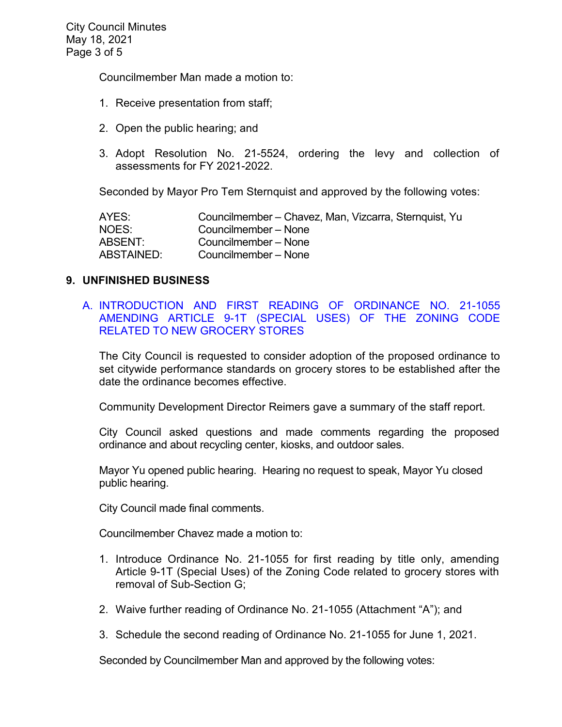Councilmember Man made a motion to:

- 1. Receive presentation from staff;
- 2. Open the public hearing; and
- 3. Adopt Resolution No. 21-5524, ordering the levy and collection of assessments for FY 2021-2022.

Seconded by Mayor Pro Tem Sternquist and approved by the following votes:

| AYES:      | Councilmember – Chavez, Man, Vizcarra, Sternquist, Yu |
|------------|-------------------------------------------------------|
| NOES:      | Councilmember - None                                  |
| ABSENT:    | Councilmember - None                                  |
| ABSTAINED: | Councilmember - None                                  |

#### **9. UNFINISHED BUSINESS**

A. [INTRODUCTION AND FIRST READING OF ORDINANCE NO. 21-1055](https://www.ci.temple-city.ca.us/DocumentCenter/View/16266/07-Grocery--Store_Staff-Report)  [AMENDING ARTICLE 9-1T \(SPECIAL USES\) OF THE ZONING CODE](https://www.ci.temple-city.ca.us/DocumentCenter/View/16266/07-Grocery--Store_Staff-Report)  [RELATED TO NEW GROCERY STORES](https://www.ci.temple-city.ca.us/DocumentCenter/View/16266/07-Grocery--Store_Staff-Report)

The City Council is requested to consider adoption of the proposed ordinance to set citywide performance standards on grocery stores to be established after the date the ordinance becomes effective.

Community Development Director Reimers gave a summary of the staff report.

City Council asked questions and made comments regarding the proposed ordinance and about recycling center, kiosks, and outdoor sales.

Mayor Yu opened public hearing. Hearing no request to speak, Mayor Yu closed public hearing.

City Council made final comments.

Councilmember Chavez made a motion to:

- 1. Introduce Ordinance No. 21-1055 for first reading by title only, amending Article 9-1T (Special Uses) of the Zoning Code related to grocery stores with removal of Sub-Section G;
- 2. Waive further reading of Ordinance No. 21-1055 (Attachment "A"); and
- 3. Schedule the second reading of Ordinance No. 21-1055 for June 1, 2021.

Seconded by Councilmember Man and approved by the following votes: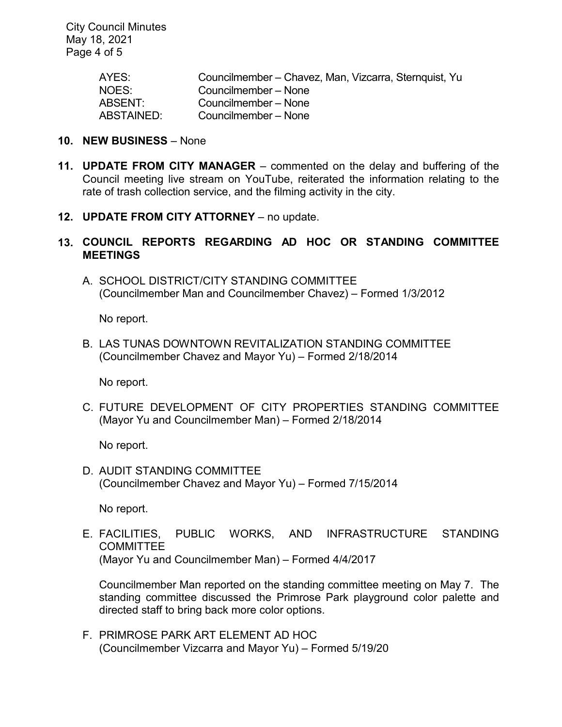City Council Minutes May 18, 2021 Page 4 of 5

| AYES:      | Councilmember – Chavez, Man, Vizcarra, Sternquist, Yu |
|------------|-------------------------------------------------------|
| NOES:      | Councilmember – None                                  |
| ABSENT:    | Councilmember – None                                  |
| ABSTAINED: | Councilmember - None                                  |

## **10. NEW BUSINESS** – None

- **11. UPDATE FROM CITY MANAGER** commented on the delay and buffering of the Council meeting live stream on YouTube, reiterated the information relating to the rate of trash collection service, and the filming activity in the city.
- **12. UPDATE FROM CITY ATTORNEY** no update.
- **13. COUNCIL REPORTS REGARDING AD HOC OR STANDING COMMITTEE MEETINGS**
	- A. SCHOOL DISTRICT/CITY STANDING COMMITTEE (Councilmember Man and Councilmember Chavez) – Formed 1/3/2012

No report.

B. LAS TUNAS DOWNTOWN REVITALIZATION STANDING COMMITTEE (Councilmember Chavez and Mayor Yu) – Formed 2/18/2014

No report.

C. FUTURE DEVELOPMENT OF CITY PROPERTIES STANDING COMMITTEE (Mayor Yu and Councilmember Man) – Formed 2/18/2014

No report.

D. AUDIT STANDING COMMITTEE (Councilmember Chavez and Mayor Yu) – Formed 7/15/2014

No report.

E. FACILITIES, PUBLIC WORKS, AND INFRASTRUCTURE STANDING **COMMITTEE** (Mayor Yu and Councilmember Man) – Formed 4/4/2017

Councilmember Man reported on the standing committee meeting on May 7. The standing committee discussed the Primrose Park playground color palette and directed staff to bring back more color options.

F. PRIMROSE PARK ART ELEMENT AD HOC (Councilmember Vizcarra and Mayor Yu) – Formed 5/19/20